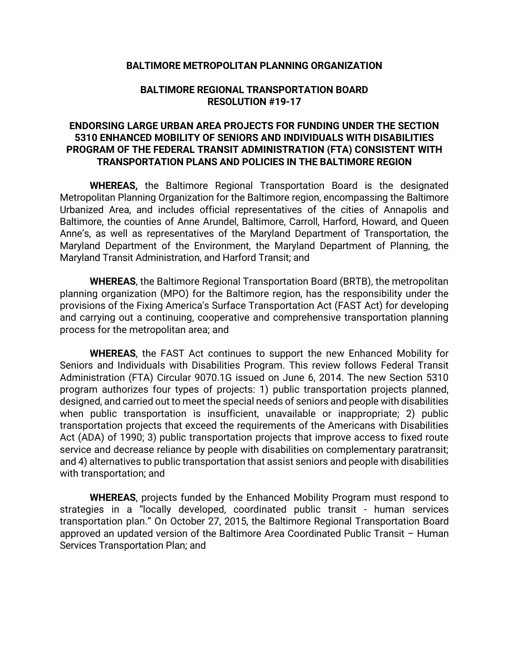## **BALTIMORE METROPOLITAN PLANNING ORGANIZATION**

## **BALTIMORE REGIONAL TRANSPORTATION BOARD RESOLUTION #19-17**

## **ENDORSING LARGE URBAN AREA PROJECTS FOR FUNDING UNDER THE SECTION 5310 ENHANCED MOBILITY OF SENIORS AND INDIVIDUALS WITH DISABILITIES PROGRAM OF THE FEDERAL TRANSIT ADMINISTRATION (FTA) CONSISTENT WITH TRANSPORTATION PLANS AND POLICIES IN THE BALTIMORE REGION**

**WHEREAS,** the Baltimore Regional Transportation Board is the designated Metropolitan Planning Organization for the Baltimore region, encompassing the Baltimore Urbanized Area, and includes official representatives of the cities of Annapolis and Baltimore, the counties of Anne Arundel, Baltimore, Carroll, Harford, Howard, and Queen Anne's, as well as representatives of the Maryland Department of Transportation, the Maryland Department of the Environment, the Maryland Department of Planning, the Maryland Transit Administration, and Harford Transit; and

**WHEREAS**, the Baltimore Regional Transportation Board (BRTB), the metropolitan planning organization (MPO) for the Baltimore region, has the responsibility under the provisions of the Fixing America's Surface Transportation Act (FAST Act) for developing and carrying out a continuing, cooperative and comprehensive transportation planning process for the metropolitan area; and

**WHEREAS**, the FAST Act continues to support the new Enhanced Mobility for Seniors and Individuals with Disabilities Program. This review follows Federal Transit Administration (FTA) Circular 9070.1G issued on June 6, 2014. The new Section 5310 program authorizes four types of projects: 1) public transportation projects planned, designed, and carried out to meet the special needs of seniors and people with disabilities when public transportation is insufficient, unavailable or inappropriate; 2) public transportation projects that exceed the requirements of the Americans with Disabilities Act (ADA) of 1990; 3) public transportation projects that improve access to fixed route service and decrease reliance by people with disabilities on complementary paratransit; and 4) alternatives to public transportation that assist seniors and people with disabilities with transportation; and

**WHEREAS**, projects funded by the Enhanced Mobility Program must respond to strategies in a "locally developed, coordinated public transit - human services transportation plan." On October 27, 2015, the Baltimore Regional Transportation Board approved an updated version of the Baltimore Area Coordinated Public Transit – Human Services Transportation Plan; and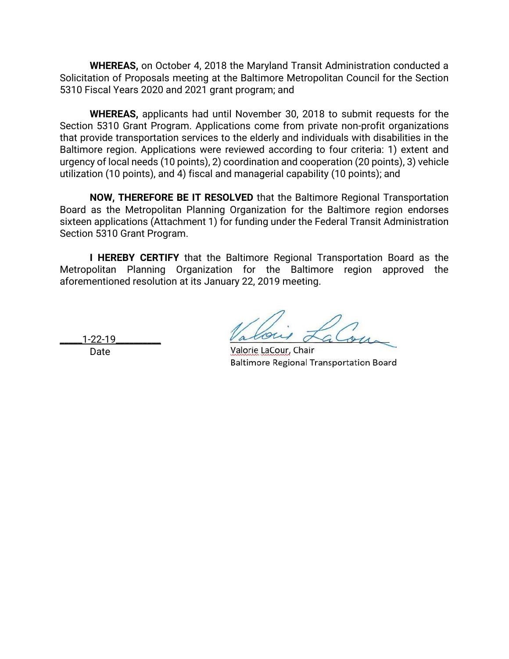**WHEREAS,** on October 4, 2018 the Maryland Transit Administration conducted a Solicitation of Proposals meeting at the Baltimore Metropolitan Council for the Section 5310 Fiscal Years 2020 and 2021 grant program; and

**WHEREAS,** applicants had until November 30, 2018 to submit requests for the Section 5310 Grant Program. Applications come from private non-profit organizations that provide transportation services to the elderly and individuals with disabilities in the Baltimore region. Applications were reviewed according to four criteria: 1) extent and urgency of local needs (10 points), 2) coordination and cooperation (20 points), 3) vehicle utilization (10 points), and 4) fiscal and managerial capability (10 points); and

**NOW, THEREFORE BE IT RESOLVED** that the Baltimore Regional Transportation Board as the Metropolitan Planning Organization for the Baltimore region endorses sixteen applications (Attachment 1) for funding under the Federal Transit Administration Section 5310 Grant Program.

**I HEREBY CERTIFY** that the Baltimore Regional Transportation Board as the Metropolitan Planning Organization for the Baltimore region approved the aforementioned resolution at its January 22, 2019 meeting.

Date

 $\frac{1-22-19}{2}$  along a country of  $\alpha$ 

**Baltimore Regional Transportation Board**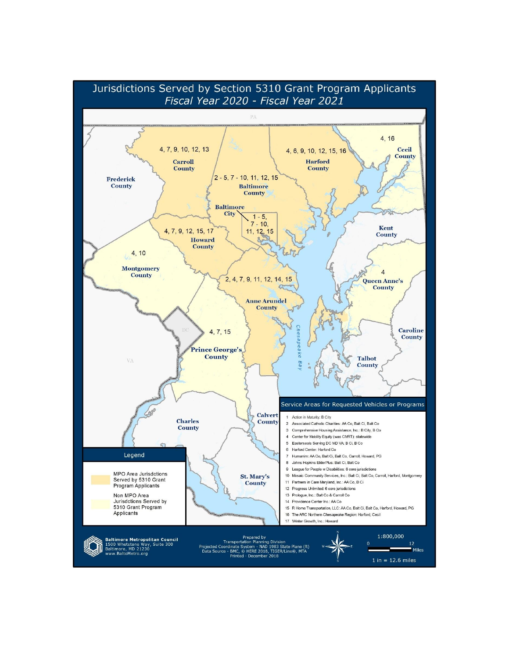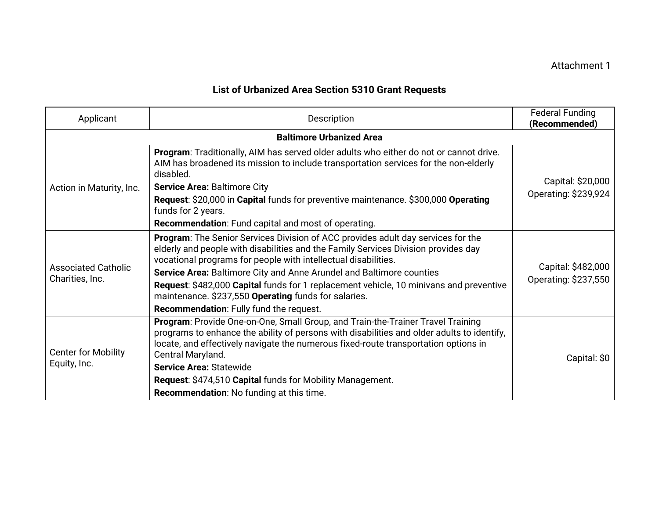## **List of Urbanized Area Section 5310 Grant Requests**

| Applicant                                     | Description                                                                                                                                                                                                                                                                                                                                                                                                                                                                                                   | <b>Federal Funding</b><br>(Recommended)    |  |
|-----------------------------------------------|---------------------------------------------------------------------------------------------------------------------------------------------------------------------------------------------------------------------------------------------------------------------------------------------------------------------------------------------------------------------------------------------------------------------------------------------------------------------------------------------------------------|--------------------------------------------|--|
| <b>Baltimore Urbanized Area</b>               |                                                                                                                                                                                                                                                                                                                                                                                                                                                                                                               |                                            |  |
| Action in Maturity, Inc.                      | Program: Traditionally, AIM has served older adults who either do not or cannot drive.<br>AIM has broadened its mission to include transportation services for the non-elderly<br>disabled.<br><b>Service Area: Baltimore City</b><br>Request: \$20,000 in Capital funds for preventive maintenance. \$300,000 Operating<br>funds for 2 years.<br><b>Recommendation:</b> Fund capital and most of operating.                                                                                                  | Capital: \$20,000<br>Operating: \$239,924  |  |
| <b>Associated Catholic</b><br>Charities, Inc. | Program: The Senior Services Division of ACC provides adult day services for the<br>elderly and people with disabilities and the Family Services Division provides day<br>vocational programs for people with intellectual disabilities.<br>Service Area: Baltimore City and Anne Arundel and Baltimore counties<br>Request: \$482,000 Capital funds for 1 replacement vehicle, 10 minivans and preventive<br>maintenance. \$237,550 Operating funds for salaries.<br>Recommendation: Fully fund the request. | Capital: \$482,000<br>Operating: \$237,550 |  |
| <b>Center for Mobility</b><br>Equity, Inc.    | Program: Provide One-on-One, Small Group, and Train-the-Trainer Travel Training<br>programs to enhance the ability of persons with disabilities and older adults to identify,<br>locate, and effectively navigate the numerous fixed-route transportation options in<br>Central Maryland.<br><b>Service Area: Statewide</b><br>Request: \$474,510 Capital funds for Mobility Management.<br><b>Recommendation:</b> No funding at this time.                                                                   | Capital: \$0                               |  |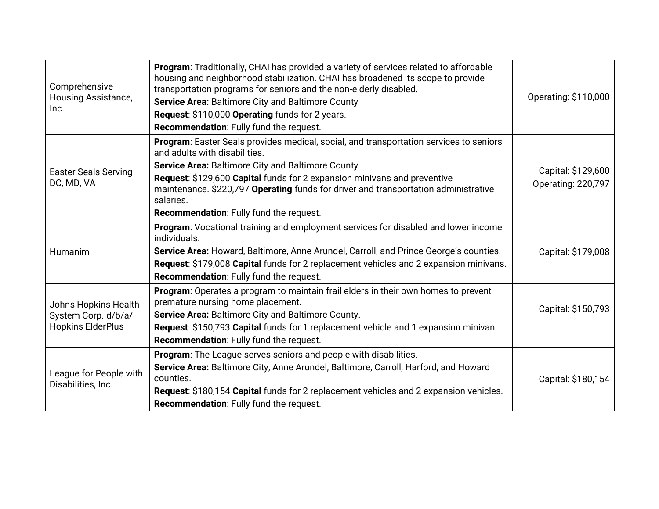| Comprehensive<br>Housing Assistance,<br>Inc.                            | Program: Traditionally, CHAI has provided a variety of services related to affordable<br>housing and neighborhood stabilization. CHAI has broadened its scope to provide<br>transportation programs for seniors and the non-elderly disabled.<br>Service Area: Baltimore City and Baltimore County<br>Request: \$110,000 Operating funds for 2 years.<br>Recommendation: Fully fund the request.        | Operating: \$110,000                     |
|-------------------------------------------------------------------------|---------------------------------------------------------------------------------------------------------------------------------------------------------------------------------------------------------------------------------------------------------------------------------------------------------------------------------------------------------------------------------------------------------|------------------------------------------|
| <b>Easter Seals Serving</b><br>DC, MD, VA                               | Program: Easter Seals provides medical, social, and transportation services to seniors<br>and adults with disabilities.<br>Service Area: Baltimore City and Baltimore County<br>Request: \$129,600 Capital funds for 2 expansion minivans and preventive<br>maintenance. \$220,797 Operating funds for driver and transportation administrative<br>salaries.<br>Recommendation: Fully fund the request. | Capital: \$129,600<br>Operating: 220,797 |
| Humanim                                                                 | Program: Vocational training and employment services for disabled and lower income<br>individuals.<br>Service Area: Howard, Baltimore, Anne Arundel, Carroll, and Prince George's counties.<br>Request: \$179,008 Capital funds for 2 replacement vehicles and 2 expansion minivans.<br>Recommendation: Fully fund the request.                                                                         | Capital: \$179,008                       |
| Johns Hopkins Health<br>System Corp. d/b/a/<br><b>Hopkins ElderPlus</b> | Program: Operates a program to maintain frail elders in their own homes to prevent<br>premature nursing home placement.<br>Service Area: Baltimore City and Baltimore County.<br>Request: \$150,793 Capital funds for 1 replacement vehicle and 1 expansion minivan.<br>Recommendation: Fully fund the request.                                                                                         | Capital: \$150,793                       |
| League for People with<br>Disabilities, Inc.                            | Program: The League serves seniors and people with disabilities.<br>Service Area: Baltimore City, Anne Arundel, Baltimore, Carroll, Harford, and Howard<br>counties.<br>Request: \$180,154 Capital funds for 2 replacement vehicles and 2 expansion vehicles.<br>Recommendation: Fully fund the request.                                                                                                | Capital: \$180,154                       |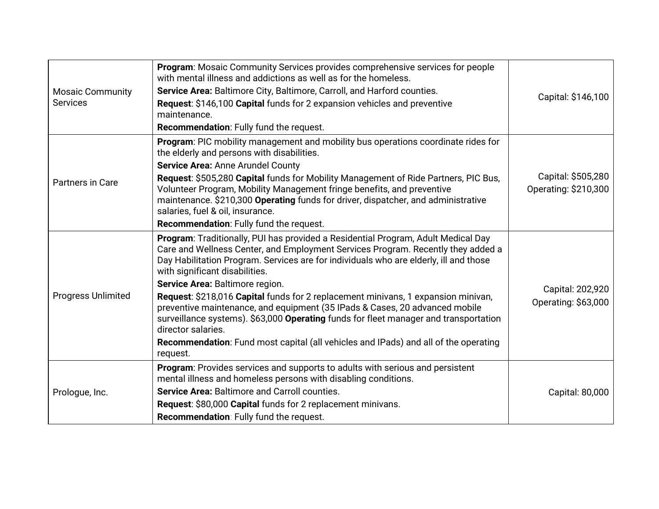| <b>Mosaic Community</b><br><b>Services</b> | Program: Mosaic Community Services provides comprehensive services for people<br>with mental illness and addictions as well as for the homeless.<br>Service Area: Baltimore City, Baltimore, Carroll, and Harford counties.<br>Request: \$146,100 Capital funds for 2 expansion vehicles and preventive<br>maintenance.<br><b>Recommendation:</b> Fully fund the request.                                                                                                                                                                                                                                                                                                                                                       | Capital: \$146,100                         |
|--------------------------------------------|---------------------------------------------------------------------------------------------------------------------------------------------------------------------------------------------------------------------------------------------------------------------------------------------------------------------------------------------------------------------------------------------------------------------------------------------------------------------------------------------------------------------------------------------------------------------------------------------------------------------------------------------------------------------------------------------------------------------------------|--------------------------------------------|
| Partners in Care                           | <b>Program:</b> PIC mobility management and mobility bus operations coordinate rides for<br>the elderly and persons with disabilities.<br>Service Area: Anne Arundel County<br>Request: \$505,280 Capital funds for Mobility Management of Ride Partners, PIC Bus,<br>Volunteer Program, Mobility Management fringe benefits, and preventive<br>maintenance. \$210,300 Operating funds for driver, dispatcher, and administrative<br>salaries, fuel & oil, insurance.<br>Recommendation: Fully fund the request.                                                                                                                                                                                                                | Capital: \$505,280<br>Operating: \$210,300 |
| <b>Progress Unlimited</b>                  | Program: Traditionally, PUI has provided a Residential Program, Adult Medical Day<br>Care and Wellness Center, and Employment Services Program. Recently they added a<br>Day Habilitation Program. Services are for individuals who are elderly, ill and those<br>with significant disabilities.<br>Service Area: Baltimore region.<br>Request: \$218,016 Capital funds for 2 replacement minivans, 1 expansion minivan,<br>preventive maintenance, and equipment (35 IPads & Cases, 20 advanced mobile<br>surveillance systems). \$63,000 Operating funds for fleet manager and transportation<br>director salaries.<br><b>Recommendation:</b> Fund most capital (all vehicles and IPads) and all of the operating<br>request. | Capital: 202,920<br>Operating: \$63,000    |
| Prologue, Inc.                             | Program: Provides services and supports to adults with serious and persistent<br>mental illness and homeless persons with disabling conditions.<br>Service Area: Baltimore and Carroll counties.<br>Request: \$80,000 Capital funds for 2 replacement minivans.<br>Recommendation: Fully fund the request.                                                                                                                                                                                                                                                                                                                                                                                                                      | Capital: 80,000                            |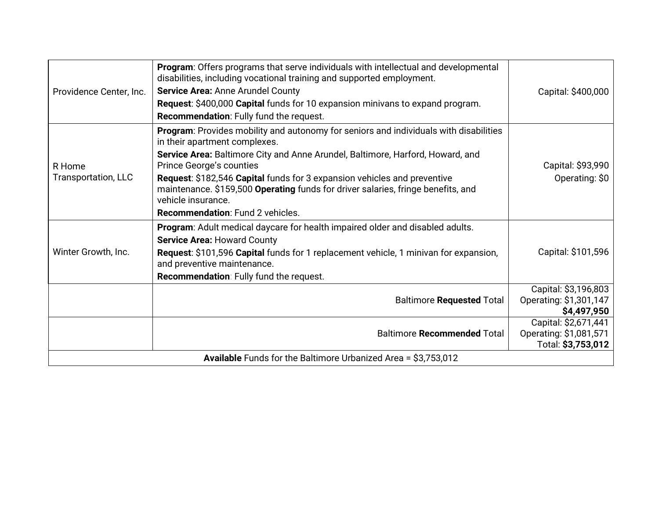| Providence Center, Inc.                                        | Program: Offers programs that serve individuals with intellectual and developmental<br>disabilities, including vocational training and supported employment.<br>Service Area: Anne Arundel County<br>Request: \$400,000 Capital funds for 10 expansion minivans to expand program.<br>Recommendation: Fully fund the request.                                                                                                                                         | Capital: \$400,000                                                   |  |
|----------------------------------------------------------------|-----------------------------------------------------------------------------------------------------------------------------------------------------------------------------------------------------------------------------------------------------------------------------------------------------------------------------------------------------------------------------------------------------------------------------------------------------------------------|----------------------------------------------------------------------|--|
| R Home<br><b>Transportation, LLC</b>                           | Program: Provides mobility and autonomy for seniors and individuals with disabilities<br>in their apartment complexes.<br>Service Area: Baltimore City and Anne Arundel, Baltimore, Harford, Howard, and<br>Prince George's counties<br>Request: \$182,546 Capital funds for 3 expansion vehicles and preventive<br>maintenance. \$159,500 Operating funds for driver salaries, fringe benefits, and<br>vehicle insurance.<br><b>Recommendation: Fund 2 vehicles.</b> | Capital: \$93,990<br>Operating: \$0                                  |  |
| Winter Growth, Inc.                                            | <b>Program:</b> Adult medical daycare for health impaired older and disabled adults.<br><b>Service Area: Howard County</b><br>Request: \$101,596 Capital funds for 1 replacement vehicle, 1 minivan for expansion,<br>and preventive maintenance.<br>Recommendation: Fully fund the request.                                                                                                                                                                          | Capital: \$101,596                                                   |  |
|                                                                | <b>Baltimore Requested Total</b>                                                                                                                                                                                                                                                                                                                                                                                                                                      | Capital: \$3,196,803<br>Operating: \$1,301,147<br>\$4,497,950        |  |
|                                                                | <b>Baltimore Recommended Total</b>                                                                                                                                                                                                                                                                                                                                                                                                                                    | Capital: \$2,671,441<br>Operating: \$1,081,571<br>Total: \$3,753,012 |  |
| Available Funds for the Baltimore Urbanized Area = \$3,753,012 |                                                                                                                                                                                                                                                                                                                                                                                                                                                                       |                                                                      |  |